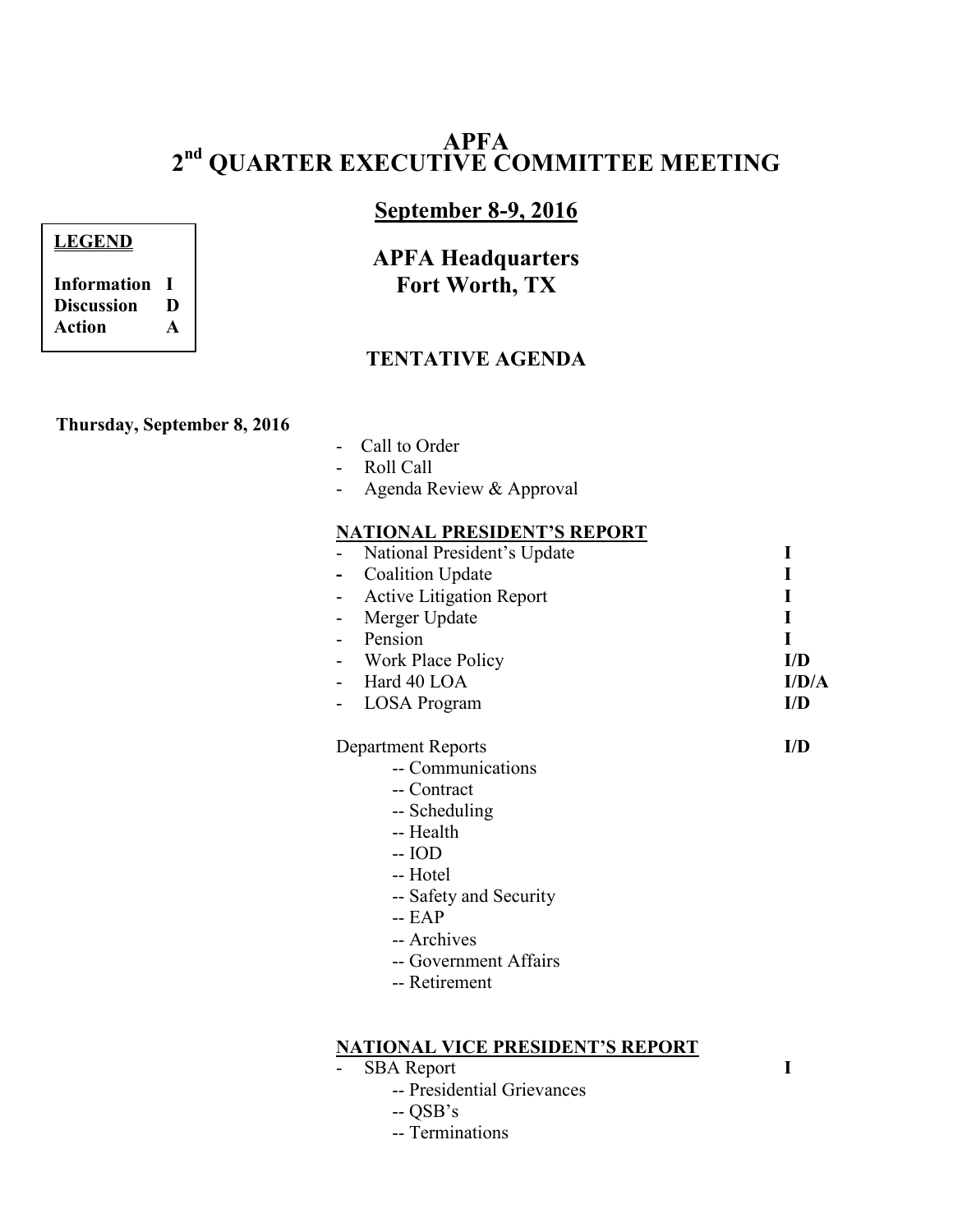# **APFA 2 nd QUARTER EXECUTIVE COMMITTEE MEETING**

# **September 8-9, 2016**

# **APFA Headquarters Fort Worth, TX**

## **TENTATIVE AGENDA**

#### **Thursday, September 8, 2016**

- Call to Order
- Roll Call
- Agenda Review & Approval

#### **NATIONAL PRESIDENT'S REPORT**

| National President's Update |       |
|-----------------------------|-------|
| <b>Coalition Update</b>     |       |
| - Active Litigation Report  |       |
| Merger Update               |       |
| Pension                     |       |
| - Work Place Policy         | I/D   |
| Hard 40 LOA                 | I/D/A |
| <b>LOSA</b> Program         | I/D   |

Department Reports **I/D** 

- -- Communications
- -- Contract
- -- Scheduling
- -- Health
- -- IOD
- -- Hotel
- -- Safety and Security
- -- EAP
- -- Archives
- -- Government Affairs
- -- Retirement

#### **NATIONAL VICE PRESIDENT'S REPORT**

- SBA Report **I** 
	- -- Presidential Grievances
	- -- QSB's
	- -- Terminations

**Discussion D Action A**

**Information I**

**LEGEND**